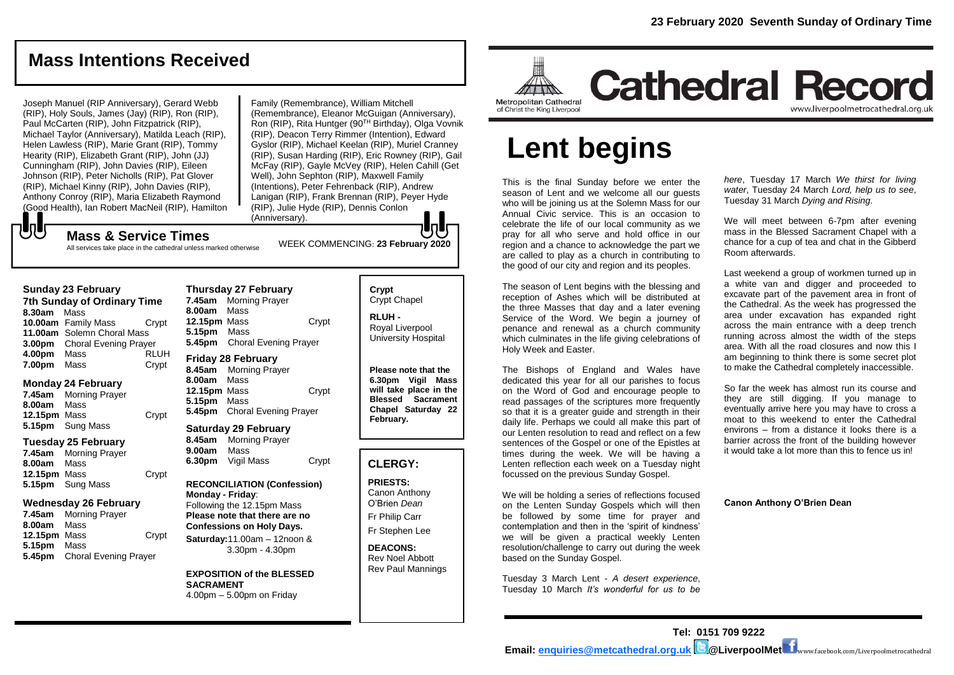# **Mass Intentions Received**

Joseph Manuel (RIP Anniversary), Gerard Webb (RIP), Holy Souls, James (Jay) (RIP), Ron (RIP), Paul McCarten (RIP), John Fitzpatrick (RIP), Michael Taylor (Anniversary), Matilda Leach (RIP), Helen Lawless (RIP), Marie Grant (RIP), Tommy Hearity (RIP), Elizabeth Grant (RIP), John (JJ) Cunningham (RIP), John Davies (RIP), Eileen Johnson (RIP), Peter Nicholls (RIP), Pat Glover (RIP), Michael Kinny (RIP), John Davies (RIP), Anthony Conroy (RIP), Maria Elizabeth Raymond (Good Health), Ian Robert MacNeil (RIP), Hamilton

Family (Remembrance), William Mitchell (Remembrance), Eleanor McGuigan (Anniversary), Ron (RIP), Rita Huntger (90<sup>TH</sup> Birthday), Olga Vovnik (RIP), Deacon Terry Rimmer (Intention), Edward Gyslor (RIP), Michael Keelan (RIP), Muriel Cranney (RIP), Susan Harding (RIP), Eric Rowney (RIP), Gail McFay (RIP), Gayle McVey (RIP), Helen Cahill (Get Well), John Sephton (RIP), Maxwell Family (Intentions), Peter Fehrenback (RIP), Andrew Lanigan (RIP), Frank Brennan (RIP), Peyer Hyde (RIP), Julie Hyde (RIP), Dennis Conlon (Anniversary).

# ${\bf J}$

WEEK COMMENCING: **<sup>23</sup> February 2020 Mass & Service Times** All services take place in the cathedral unless marked otherwise

### **Sunday 23 February**

**7th Sunday of Ordinary Time 8.30am** Mass **10.00am** Family Mass Crypt **11.00am** Solemn Choral Mass **3.00pm** Choral Evening Prayer **4.00pm** Mass RLUH **7.00pm** Mass Crypt

### **Monday 24 February**

**7.45am** Morning Prayer **8.00am** Mass **12.15pm** Mass Crypt **5.15pm** Sung Mass

### **Tuesday 25 February**

**7.45am** Morning Prayer **8.00am** Mass **12.15pm** Mass Crypt **5.15pm** Sung Mass

### **Wednesday 26 February**

**7.45am** Morning Prayer **8.00am** Mass **12.15pm** Mass Crypt **5.15pm** Mass **5.45pm** Choral Evening Prayer

**Thursday 27 February 7.45am** Morning Prayer **8.00am** Mass **12.15pm** Mass Crypt **5.15pm** Mass **5.45pm** Choral Evening Prayer

## **Friday 28 February**

**8.45am** Morning Prayer **8.00am** Mass **12.15pm** Mass Crypt **5.15pm** Mass **5.45pm** Choral Evening Prayer

### **Saturday 29 February**

**8.45am** Morning Prayer **9.00am** Mass **6.30pm** Vigil Mass Crypt

### **RECONCILIATION (Confession) Monday - Friday**: Following the 12.15pm Mass **Please note that there are no**

**Confessions on Holy Days. Saturday:**11.00am – 12noon & 3.30pm - 4.30pm

**EXPOSITION of the BLESSED SACRAMENT** 4.00pm – 5.00pm on Friday

# **Crypt**  Crypt Chapel

**RLUH -** Royal Liverpool University Hospital

**Please note that the 6.30pm Vigil Mass will take place in the Blessed Sacrament Chapel Saturday 22 February.**

## **CLERGY:**

**PRIESTS:** Canon Anthony O'Brien *Dean* Fr Philip Carr

Fr Stephen Lee

**DEACONS:** Rev Noel Abbott Rev Paul Mannings



# **Cathedral Record** www.liverpoolmetrocathedral.org.uk

# **Lent begins**

This is the final Sunday before we enter the season of Lent and we welcome all our quests who will be joining us at the Solemn Mass for our Annual Civic service. This is an occasion to celebrate the life of our local community as we pray for all who serve and hold office in our region and a chance to acknowledge the part we are called to play as a church in contributing to the good of our city and region and its peoples.

The season of Lent begins with the blessing and reception of Ashes which will be distributed at the three Masses that day and a later evening Service of the Word. We begin a journey of penance and renewal as a church community which culminates in the life giving celebrations of Holy Week and Easter.

The Bishops of England and Wales have dedicated this year for all our parishes to focus on the Word of God and encourage people to read passages of the scriptures more frequently so that it is a greater guide and strength in their daily life. Perhaps we could all make this part of our Lenten resolution to read and reflect on a few sentences of the Gospel or one of the Epistles at times during the week. We will be having a Lenten reflection each week on a Tuesday night focussed on the previous Sunday Gospel.

We will be holding a series of reflections focused on the Lenten Sunday Gospels which will then be followed by some time for prayer and contemplation and then in the 'spirit of kindness' we will be given a practical weekly Lenten resolution/challenge to carry out during the week based on the Sunday Gospel.

Tuesday 3 March Lent - *A desert experience*, Tuesday 10 March *It's wonderful for us to be*

*here*, Tuesday 17 March *We thirst for living water*, Tuesday 24 March *Lord, help us to see*, Tuesday 31 March *Dying and Rising*.

We will meet between 6-7pm after evening mass in the Blessed Sacrament Chapel with a chance for a cup of tea and chat in the Gibberd Room afterwards.

Last weekend a group of workmen turned up in a white van and digger and proceeded to excavate part of the pavement area in front of the Cathedral. As the week has progressed the area under excavation has expanded right across the main entrance with a deep trench running across almost the width of the steps area. With all the road closures and now this I am beginning to think there is some secret plot to make the Cathedral completely inaccessible.

So far the week has almost run its course and they are still digging. If you manage to eventually arrive here you may have to cross a moat to this weekend to enter the Cathedral environs – from a distance it looks there is a barrier across the front of the building however it would take a lot more than this to fence us in!

### **Canon Anthony O'Brien Dean**